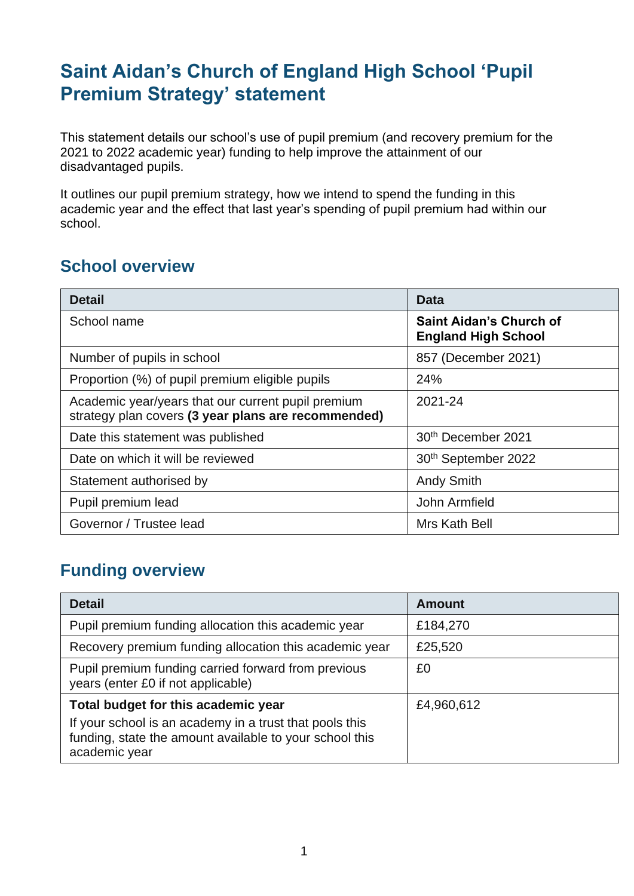# **Saint Aidan's Church of England High School 'Pupil Premium Strategy' statement**

This statement details our school's use of pupil premium (and recovery premium for the 2021 to 2022 academic year) funding to help improve the attainment of our disadvantaged pupils.

It outlines our pupil premium strategy, how we intend to spend the funding in this academic year and the effect that last year's spending of pupil premium had within our school.

#### **School overview**

| <b>Detail</b>                                                                                             | Data                                                         |
|-----------------------------------------------------------------------------------------------------------|--------------------------------------------------------------|
| School name                                                                                               | <b>Saint Aidan's Church of</b><br><b>England High School</b> |
| Number of pupils in school                                                                                | 857 (December 2021)                                          |
| Proportion (%) of pupil premium eligible pupils                                                           | 24%                                                          |
| Academic year/years that our current pupil premium<br>strategy plan covers (3 year plans are recommended) | 2021-24                                                      |
| Date this statement was published                                                                         | 30 <sup>th</sup> December 2021                               |
| Date on which it will be reviewed                                                                         | 30 <sup>th</sup> September 2022                              |
| Statement authorised by                                                                                   | <b>Andy Smith</b>                                            |
| Pupil premium lead                                                                                        | John Armfield                                                |
| Governor / Trustee lead                                                                                   | Mrs Kath Bell                                                |

### **Funding overview**

| <b>Detail</b>                                                                                                                                                              | <b>Amount</b> |
|----------------------------------------------------------------------------------------------------------------------------------------------------------------------------|---------------|
| Pupil premium funding allocation this academic year                                                                                                                        | £184,270      |
| Recovery premium funding allocation this academic year                                                                                                                     | £25,520       |
| Pupil premium funding carried forward from previous<br>years (enter £0 if not applicable)                                                                                  | £0            |
| Total budget for this academic year<br>If your school is an academy in a trust that pools this<br>funding, state the amount available to your school this<br>academic year | £4,960,612    |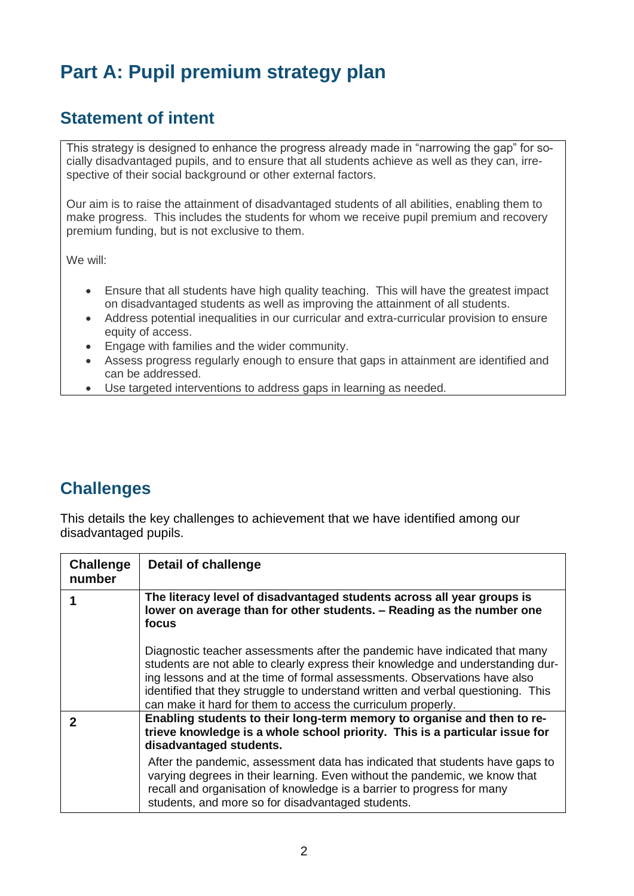# **Part A: Pupil premium strategy plan**

### **Statement of intent**

This strategy is designed to enhance the progress already made in "narrowing the gap" for socially disadvantaged pupils, and to ensure that all students achieve as well as they can, irrespective of their social background or other external factors.

Our aim is to raise the attainment of disadvantaged students of all abilities, enabling them to make progress. This includes the students for whom we receive pupil premium and recovery premium funding, but is not exclusive to them.

We will:

- Ensure that all students have high quality teaching. This will have the greatest impact on disadvantaged students as well as improving the attainment of all students.
- Address potential inequalities in our curricular and extra-curricular provision to ensure equity of access.
- Engage with families and the wider community.
- Assess progress regularly enough to ensure that gaps in attainment are identified and can be addressed.
- Use targeted interventions to address gaps in learning as needed.

#### **Challenges**

This details the key challenges to achievement that we have identified among our disadvantaged pupils.

| <b>Challenge</b><br>number | <b>Detail of challenge</b>                                                                                                                                                                                                                                                                                                                                                                     |
|----------------------------|------------------------------------------------------------------------------------------------------------------------------------------------------------------------------------------------------------------------------------------------------------------------------------------------------------------------------------------------------------------------------------------------|
|                            | The literacy level of disadvantaged students across all year groups is<br>lower on average than for other students. - Reading as the number one<br>focus                                                                                                                                                                                                                                       |
|                            | Diagnostic teacher assessments after the pandemic have indicated that many<br>students are not able to clearly express their knowledge and understanding dur-<br>ing lessons and at the time of formal assessments. Observations have also<br>identified that they struggle to understand written and verbal questioning. This<br>can make it hard for them to access the curriculum properly. |
|                            | Enabling students to their long-term memory to organise and then to re-<br>trieve knowledge is a whole school priority. This is a particular issue for<br>disadvantaged students.                                                                                                                                                                                                              |
|                            | After the pandemic, assessment data has indicated that students have gaps to<br>varying degrees in their learning. Even without the pandemic, we know that<br>recall and organisation of knowledge is a barrier to progress for many<br>students, and more so for disadvantaged students.                                                                                                      |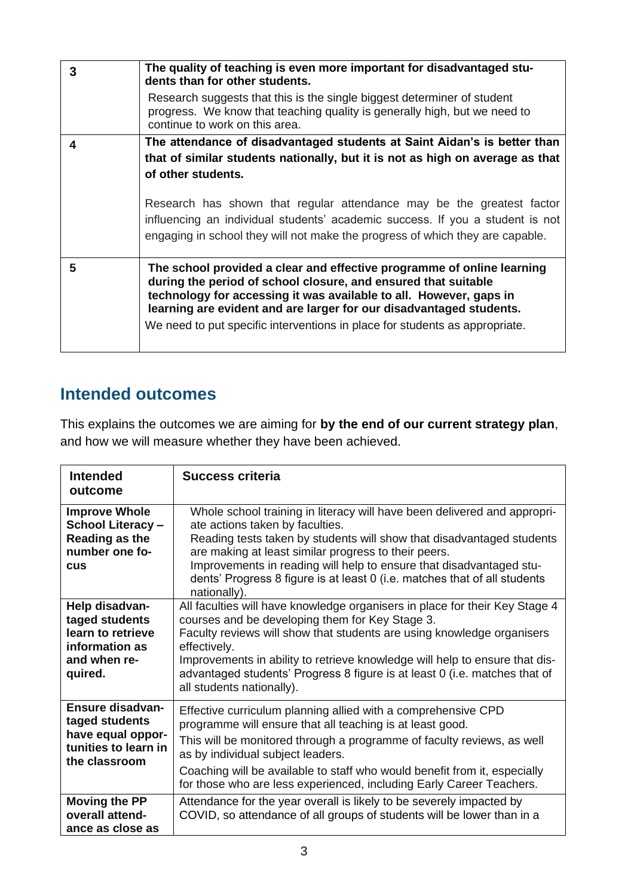| 3 | The quality of teaching is even more important for disadvantaged stu-<br>dents than for other students.                                                                                                                                                                                                                                                              |
|---|----------------------------------------------------------------------------------------------------------------------------------------------------------------------------------------------------------------------------------------------------------------------------------------------------------------------------------------------------------------------|
|   | Research suggests that this is the single biggest determiner of student<br>progress. We know that teaching quality is generally high, but we need to<br>continue to work on this area.                                                                                                                                                                               |
| 4 | The attendance of disadvantaged students at Saint Aidan's is better than                                                                                                                                                                                                                                                                                             |
|   | that of similar students nationally, but it is not as high on average as that                                                                                                                                                                                                                                                                                        |
|   | of other students.                                                                                                                                                                                                                                                                                                                                                   |
|   | Research has shown that regular attendance may be the greatest factor<br>influencing an individual students' academic success. If you a student is not<br>engaging in school they will not make the progress of which they are capable.                                                                                                                              |
| 5 | The school provided a clear and effective programme of online learning<br>during the period of school closure, and ensured that suitable<br>technology for accessing it was available to all. However, gaps in<br>learning are evident and are larger for our disadvantaged students.<br>We need to put specific interventions in place for students as appropriate. |

#### **Intended outcomes**

This explains the outcomes we are aiming for **by the end of our current strategy plan**, and how we will measure whether they have been achieved.

| <b>Intended</b><br>outcome                                                                         | <b>Success criteria</b>                                                                                                                                                                                                                                                                                                                                                                                            |
|----------------------------------------------------------------------------------------------------|--------------------------------------------------------------------------------------------------------------------------------------------------------------------------------------------------------------------------------------------------------------------------------------------------------------------------------------------------------------------------------------------------------------------|
| <b>Improve Whole</b><br><b>School Literacy -</b><br>Reading as the<br>number one fo-<br><b>CUS</b> | Whole school training in literacy will have been delivered and appropri-<br>ate actions taken by faculties.<br>Reading tests taken by students will show that disadvantaged students<br>are making at least similar progress to their peers.<br>Improvements in reading will help to ensure that disadvantaged stu-<br>dents' Progress 8 figure is at least 0 (i.e. matches that of all students<br>nationally).   |
| Help disadvan-<br>taged students<br>learn to retrieve<br>information as<br>and when re-<br>quired. | All faculties will have knowledge organisers in place for their Key Stage 4<br>courses and be developing them for Key Stage 3.<br>Faculty reviews will show that students are using knowledge organisers<br>effectively.<br>Improvements in ability to retrieve knowledge will help to ensure that dis-<br>advantaged students' Progress 8 figure is at least 0 (i.e. matches that of<br>all students nationally). |
| Ensure disadvan-<br>taged students<br>have equal oppor-<br>tunities to learn in<br>the classroom   | Effective curriculum planning allied with a comprehensive CPD<br>programme will ensure that all teaching is at least good.<br>This will be monitored through a programme of faculty reviews, as well<br>as by individual subject leaders.<br>Coaching will be available to staff who would benefit from it, especially<br>for those who are less experienced, including Early Career Teachers.                     |
| <b>Moving the PP</b><br>overall attend-<br>ance as close as                                        | Attendance for the year overall is likely to be severely impacted by<br>COVID, so attendance of all groups of students will be lower than in a                                                                                                                                                                                                                                                                     |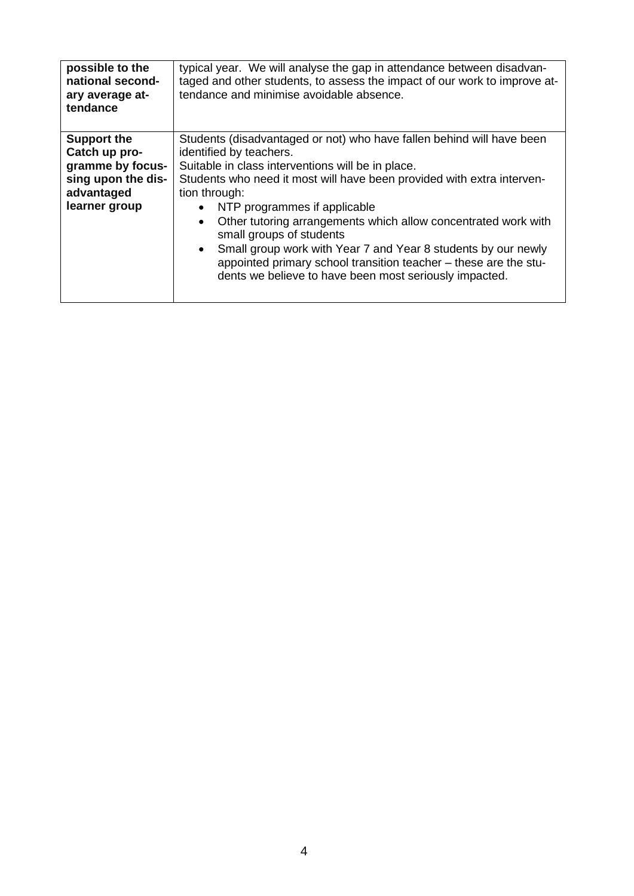| possible to the<br>national second-<br>ary average at-<br>tendance                                           | typical year. We will analyse the gap in attendance between disadvan-<br>taged and other students, to assess the impact of our work to improve at-<br>tendance and minimise avoidable absence.                                                                                                                                                                                                                                                                                                                                                                                             |
|--------------------------------------------------------------------------------------------------------------|--------------------------------------------------------------------------------------------------------------------------------------------------------------------------------------------------------------------------------------------------------------------------------------------------------------------------------------------------------------------------------------------------------------------------------------------------------------------------------------------------------------------------------------------------------------------------------------------|
| <b>Support the</b><br>Catch up pro-<br>gramme by focus-<br>sing upon the dis-<br>advantaged<br>learner group | Students (disadvantaged or not) who have fallen behind will have been<br>identified by teachers.<br>Suitable in class interventions will be in place.<br>Students who need it most will have been provided with extra interven-<br>tion through:<br>NTP programmes if applicable<br>$\bullet$<br>Other tutoring arrangements which allow concentrated work with<br>small groups of students<br>Small group work with Year 7 and Year 8 students by our newly<br>appointed primary school transition teacher – these are the stu-<br>dents we believe to have been most seriously impacted. |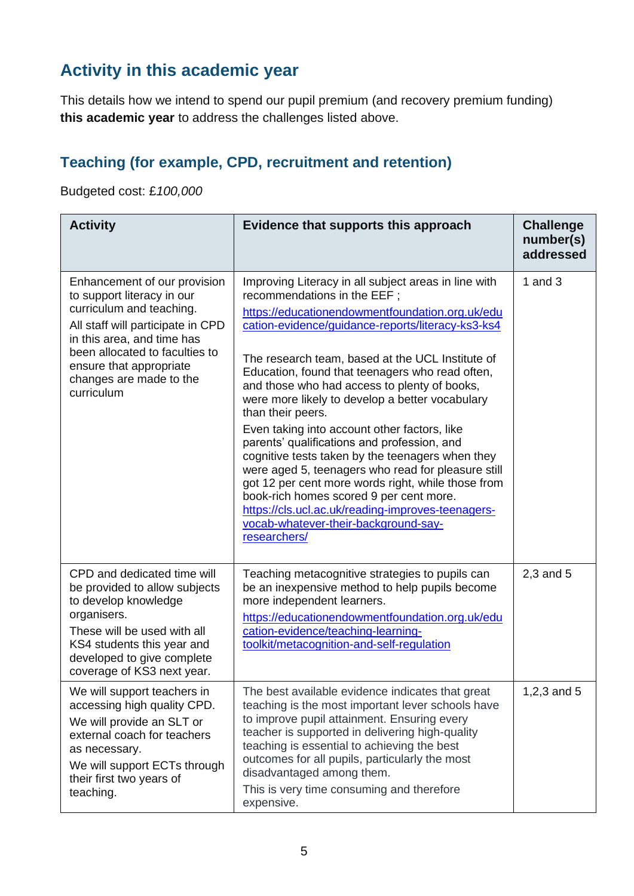## **Activity in this academic year**

This details how we intend to spend our pupil premium (and recovery premium funding) **this academic year** to address the challenges listed above.

### **Teaching (for example, CPD, recruitment and retention)**

Budgeted cost: £*100,000*

| <b>Activity</b>                                                                                                                                                                                                                                                 | Evidence that supports this approach                                                                                                                                                                                                                                                                                                                                                                                                                                                                                                                                                                                                                                                                                                                                                                                                              | <b>Challenge</b><br>number(s)<br>addressed |
|-----------------------------------------------------------------------------------------------------------------------------------------------------------------------------------------------------------------------------------------------------------------|---------------------------------------------------------------------------------------------------------------------------------------------------------------------------------------------------------------------------------------------------------------------------------------------------------------------------------------------------------------------------------------------------------------------------------------------------------------------------------------------------------------------------------------------------------------------------------------------------------------------------------------------------------------------------------------------------------------------------------------------------------------------------------------------------------------------------------------------------|--------------------------------------------|
| Enhancement of our provision<br>to support literacy in our<br>curriculum and teaching.<br>All staff will participate in CPD<br>in this area, and time has<br>been allocated to faculties to<br>ensure that appropriate<br>changes are made to the<br>curriculum | Improving Literacy in all subject areas in line with<br>recommendations in the EEF;<br>https://educationendowmentfoundation.org.uk/edu<br>cation-evidence/guidance-reports/literacy-ks3-ks4<br>The research team, based at the UCL Institute of<br>Education, found that teenagers who read often,<br>and those who had access to plenty of books,<br>were more likely to develop a better vocabulary<br>than their peers.<br>Even taking into account other factors, like<br>parents' qualifications and profession, and<br>cognitive tests taken by the teenagers when they<br>were aged 5, teenagers who read for pleasure still<br>got 12 per cent more words right, while those from<br>book-rich homes scored 9 per cent more.<br>https://cls.ucl.ac.uk/reading-improves-teenagers-<br>vocab-whatever-their-background-say-<br>researchers/ | 1 and $3$                                  |
| CPD and dedicated time will<br>be provided to allow subjects<br>to develop knowledge<br>organisers.<br>These will be used with all<br>KS4 students this year and<br>developed to give complete<br>coverage of KS3 next year.                                    | Teaching metacognitive strategies to pupils can<br>be an inexpensive method to help pupils become<br>more independent learners.<br>https://educationendowmentfoundation.org.uk/edu<br>cation-evidence/teaching-learning-<br>toolkit/metacognition-and-self-regulation                                                                                                                                                                                                                                                                                                                                                                                                                                                                                                                                                                             | $2,3$ and $5$                              |
| We will support teachers in<br>accessing high quality CPD.<br>We will provide an SLT or<br>external coach for teachers<br>as necessary.<br>We will support ECTs through<br>their first two years of<br>teaching.                                                | The best available evidence indicates that great<br>teaching is the most important lever schools have<br>to improve pupil attainment. Ensuring every<br>teacher is supported in delivering high-quality<br>teaching is essential to achieving the best<br>outcomes for all pupils, particularly the most<br>disadvantaged among them.<br>This is very time consuming and therefore<br>expensive.                                                                                                                                                                                                                                                                                                                                                                                                                                                  | 1,2,3 and $5$                              |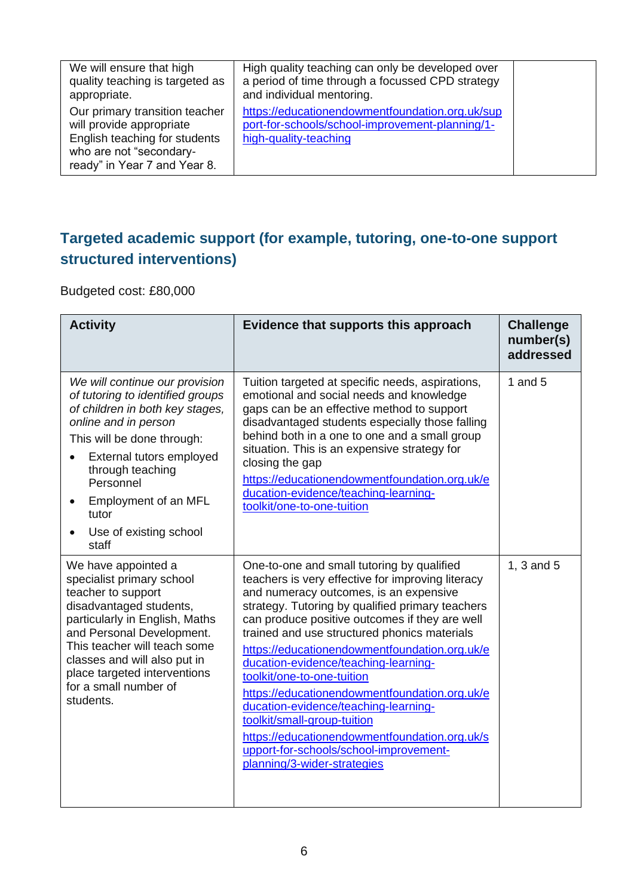| We will ensure that high<br>quality teaching is targeted as<br>appropriate.                                                                            | High quality teaching can only be developed over<br>a period of time through a focussed CPD strategy<br>and individual mentoring. |  |
|--------------------------------------------------------------------------------------------------------------------------------------------------------|-----------------------------------------------------------------------------------------------------------------------------------|--|
| Our primary transition teacher<br>will provide appropriate<br>English teaching for students<br>who are not "secondary-<br>ready" in Year 7 and Year 8. | https://educationendowmentfoundation.org.uk/sup<br>port-for-schools/school-improvement-planning/1-<br>high-quality-teaching       |  |

#### **Targeted academic support (for example, tutoring, one-to-one support structured interventions)**

Budgeted cost: £80,000

| <b>Activity</b>                                                                                                                                                                                                                                                                                        | Evidence that supports this approach                                                                                                                                                                                                                                                                                                                                                                                                                                                                                                                                                                                                                                     | <b>Challenge</b><br>number(s)<br>addressed |
|--------------------------------------------------------------------------------------------------------------------------------------------------------------------------------------------------------------------------------------------------------------------------------------------------------|--------------------------------------------------------------------------------------------------------------------------------------------------------------------------------------------------------------------------------------------------------------------------------------------------------------------------------------------------------------------------------------------------------------------------------------------------------------------------------------------------------------------------------------------------------------------------------------------------------------------------------------------------------------------------|--------------------------------------------|
| We will continue our provision<br>of tutoring to identified groups<br>of children in both key stages,<br>online and in person<br>This will be done through:<br>External tutors employed<br>through teaching<br>Personnel<br>Employment of an MFL<br>tutor<br>Use of existing school<br>staff           | Tuition targeted at specific needs, aspirations,<br>emotional and social needs and knowledge<br>gaps can be an effective method to support<br>disadvantaged students especially those falling<br>behind both in a one to one and a small group<br>situation. This is an expensive strategy for<br>closing the gap<br>https://educationendowmentfoundation.org.uk/e<br>ducation-evidence/teaching-learning-<br>toolkit/one-to-one-tuition                                                                                                                                                                                                                                 | 1 and $5$                                  |
| We have appointed a<br>specialist primary school<br>teacher to support<br>disadvantaged students,<br>particularly in English, Maths<br>and Personal Development.<br>This teacher will teach some<br>classes and will also put in<br>place targeted interventions<br>for a small number of<br>students. | One-to-one and small tutoring by qualified<br>teachers is very effective for improving literacy<br>and numeracy outcomes, is an expensive<br>strategy. Tutoring by qualified primary teachers<br>can produce positive outcomes if they are well<br>trained and use structured phonics materials<br>https://educationendowmentfoundation.org.uk/e<br>ducation-evidence/teaching-learning-<br>toolkit/one-to-one-tuition<br>https://educationendowmentfoundation.org.uk/e<br>ducation-evidence/teaching-learning-<br>toolkit/small-group-tuition<br>https://educationendowmentfoundation.org.uk/s<br>upport-for-schools/school-improvement-<br>planning/3-wider-strategies | 1, 3 and 5                                 |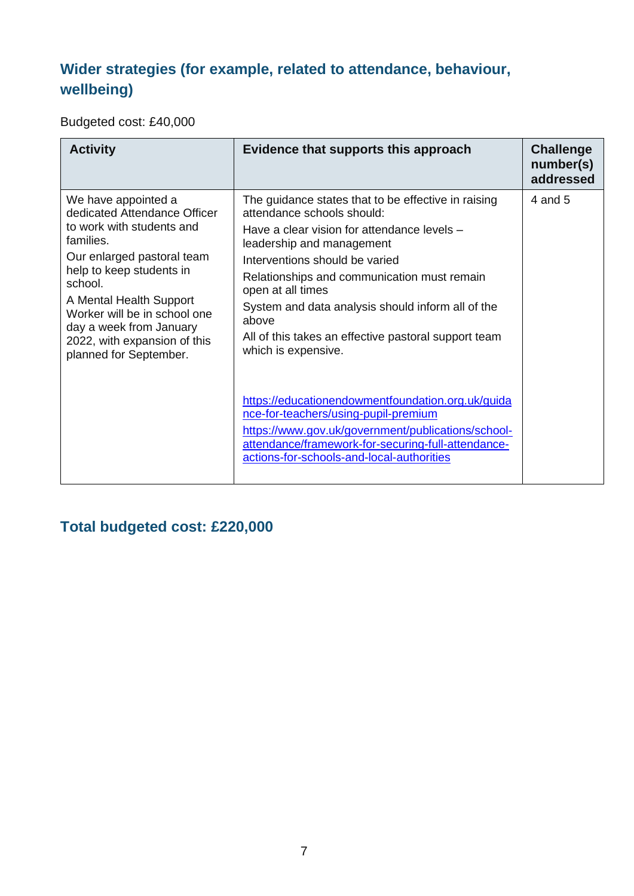### **Wider strategies (for example, related to attendance, behaviour, wellbeing)**

Budgeted cost: £40,000

| <b>Activity</b>                                                                                                                                                                                                                                                                                                    | Evidence that supports this approach                                                                                                                                                                                                                                                                                                                                                                             | <b>Challenge</b><br>number(s)<br>addressed |
|--------------------------------------------------------------------------------------------------------------------------------------------------------------------------------------------------------------------------------------------------------------------------------------------------------------------|------------------------------------------------------------------------------------------------------------------------------------------------------------------------------------------------------------------------------------------------------------------------------------------------------------------------------------------------------------------------------------------------------------------|--------------------------------------------|
| We have appointed a<br>dedicated Attendance Officer<br>to work with students and<br>families.<br>Our enlarged pastoral team<br>help to keep students in<br>school.<br>A Mental Health Support<br>Worker will be in school one<br>day a week from January<br>2022, with expansion of this<br>planned for September. | The guidance states that to be effective in raising<br>attendance schools should:<br>Have a clear vision for attendance levels -<br>leadership and management<br>Interventions should be varied<br>Relationships and communication must remain<br>open at all times<br>System and data analysis should inform all of the<br>above<br>All of this takes an effective pastoral support team<br>which is expensive. | 4 and 5                                    |
|                                                                                                                                                                                                                                                                                                                    | https://educationendowmentfoundation.org.uk/guida<br>nce-for-teachers/using-pupil-premium<br>https://www.gov.uk/government/publications/school-<br>attendance/framework-for-securing-full-attendance-<br>actions-for-schools-and-local-authorities                                                                                                                                                               |                                            |

### **Total budgeted cost: £220,000**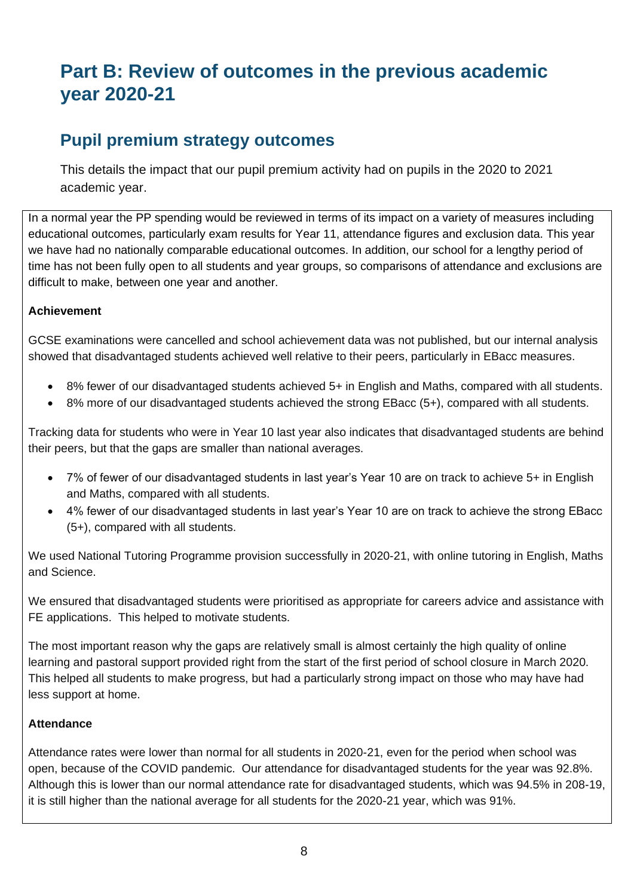## **Part B: Review of outcomes in the previous academic year 2020-21**

#### **Pupil premium strategy outcomes**

This details the impact that our pupil premium activity had on pupils in the 2020 to 2021 academic year.

In a normal year the PP spending would be reviewed in terms of its impact on a variety of measures including educational outcomes, particularly exam results for Year 11, attendance figures and exclusion data. This year we have had no nationally comparable educational outcomes. In addition, our school for a lengthy period of time has not been fully open to all students and year groups, so comparisons of attendance and exclusions are difficult to make, between one year and another.

#### **Achievement**

GCSE examinations were cancelled and school achievement data was not published, but our internal analysis showed that disadvantaged students achieved well relative to their peers, particularly in EBacc measures.

- 8% fewer of our disadvantaged students achieved 5+ in English and Maths, compared with all students.
- 8% more of our disadvantaged students achieved the strong EBacc (5+), compared with all students.

Tracking data for students who were in Year 10 last year also indicates that disadvantaged students are behind their peers, but that the gaps are smaller than national averages.

- 7% of fewer of our disadvantaged students in last year's Year 10 are on track to achieve 5+ in English and Maths, compared with all students.
- 4% fewer of our disadvantaged students in last year's Year 10 are on track to achieve the strong EBacc (5+), compared with all students.

We used National Tutoring Programme provision successfully in 2020-21, with online tutoring in English, Maths and Science.

We ensured that disadvantaged students were prioritised as appropriate for careers advice and assistance with FE applications. This helped to motivate students.

The most important reason why the gaps are relatively small is almost certainly the high quality of online learning and pastoral support provided right from the start of the first period of school closure in March 2020. This helped all students to make progress, but had a particularly strong impact on those who may have had less support at home.

#### **Attendance**

Attendance rates were lower than normal for all students in 2020-21, even for the period when school was open, because of the COVID pandemic. Our attendance for disadvantaged students for the year was 92.8%. Although this is lower than our normal attendance rate for disadvantaged students, which was 94.5% in 208-19, it is still higher than the national average for all students for the 2020-21 year, which was 91%.